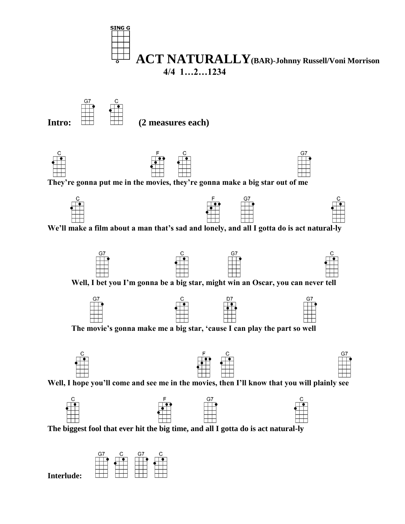

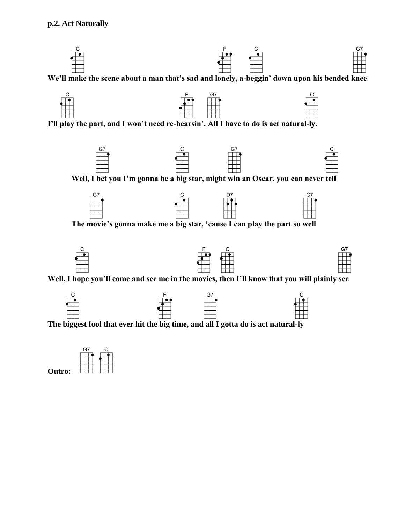

**We'll make the scene about a man that's sad and lonely, a-beggin' down upon his bended knee**



**I'll play the part, and I won't need re-hearsin'. All I have to do is act natural-ly.**





**The movie's gonna make me a big star, 'cause I can play the part so well**





**Well, I hope you'll come and see me in the movies, then I'll know that you will plainly see**



**The biggest fool that ever hit the big time, and all I gotta do is act natural-ly**